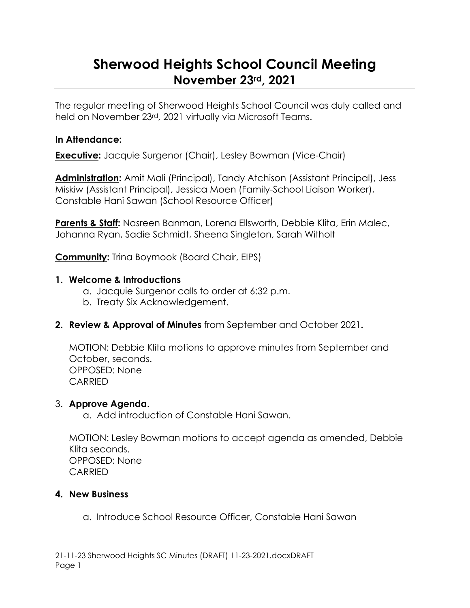# **Sherwood Heights School Council Meeting November 23rd, 2021**

The regular meeting of Sherwood Heights School Council was duly called and held on November 23rd, 2021 virtually via Microsoft Teams.

#### **In Attendance:**

**Executive:** Jacquie Surgenor (Chair), Lesley Bowman (Vice-Chair)

**Administration:** Amit Mali (Principal), Tandy Atchison (Assistant Principal), Jess Miskiw (Assistant Principal), Jessica Moen (Family-School Liaison Worker), Constable Hani Sawan (School Resource Officer)

**Parents & Staff:** Nasreen Banman, Lorena Ellsworth, Debbie Klita, Erin Malec, Johanna Ryan, Sadie Schmidt, Sheena Singleton, Sarah Witholt

**Community:** Trina Boymook (Board Chair, EIPS)

#### **1. Welcome & Introductions**

- a. Jacquie Surgenor calls to order at 6:32 p.m.
- b. Treaty Six Acknowledgement.
- **2. Review & Approval of Minutes** from September and October 2021**.**

MOTION: Debbie Klita motions to approve minutes from September and October, seconds. OPPOSED: None CARRIED

#### 3. **Approve Agenda**.

a. Add introduction of Constable Hani Sawan.

MOTION: Lesley Bowman motions to accept agenda as amended, Debbie Klita seconds. OPPOSED: None **CARRIED** 

#### **4. New Business**

a. Introduce School Resource Officer, Constable Hani Sawan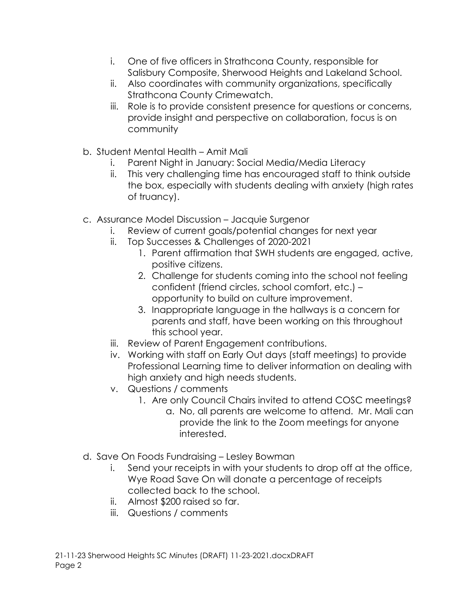- i. One of five officers in Strathcona County, responsible for Salisbury Composite, Sherwood Heights and Lakeland School.
- ii. Also coordinates with community organizations, specifically Strathcona County Crimewatch.
- iii. Role is to provide consistent presence for questions or concerns, provide insight and perspective on collaboration, focus is on community
- b. Student Mental Health Amit Mali
	- i. Parent Night in January: Social Media/Media Literacy
	- ii. This very challenging time has encouraged staff to think outside the box, especially with students dealing with anxiety (high rates of truancy).
- c. Assurance Model Discussion Jacquie Surgenor
	- i. Review of current goals/potential changes for next year
	- ii. Top Successes & Challenges of 2020-2021
		- 1. Parent affirmation that SWH students are engaged, active, positive citizens.
		- 2. Challenge for students coming into the school not feeling confident (friend circles, school comfort, etc.) – opportunity to build on culture improvement.
		- 3. Inappropriate language in the hallways is a concern for parents and staff, have been working on this throughout this school year.
	- iii. Review of Parent Engagement contributions.
	- iv. Working with staff on Early Out days (staff meetings) to provide Professional Learning time to deliver information on dealing with high anxiety and high needs students.
	- v. Questions / comments
		- 1. Are only Council Chairs invited to attend COSC meetings?
			- a. No, all parents are welcome to attend. Mr. Mali can provide the link to the Zoom meetings for anyone interested.
- d. Save On Foods Fundraising Lesley Bowman
	- i. Send your receipts in with your students to drop off at the office, Wye Road Save On will donate a percentage of receipts collected back to the school.
	- ii. Almost \$200 raised so far.
	- iii. Questions / comments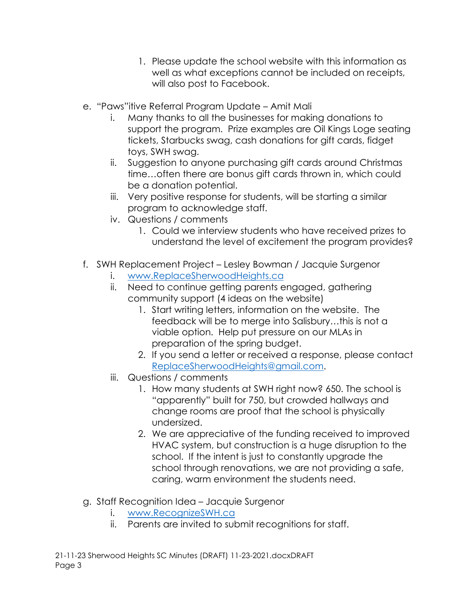- 1. Please update the school website with this information as well as what exceptions cannot be included on receipts, will also post to Facebook.
- e. "Paws"itive Referral Program Update Amit Mali
	- i. Many thanks to all the businesses for making donations to support the program. Prize examples are Oil Kings Loge seating tickets, Starbucks swag, cash donations for gift cards, fidget toys, SWH swag.
	- ii. Suggestion to anyone purchasing gift cards around Christmas time…often there are bonus gift cards thrown in, which could be a donation potential.
	- iii. Very positive response for students, will be starting a similar program to acknowledge staff.
	- iv. Questions / comments
		- 1. Could we interview students who have received prizes to understand the level of excitement the program provides?
- f. SWH Replacement Project Lesley Bowman / Jacquie Surgenor
	- i. [www.ReplaceSherwoodHeights.ca](http://www.replacesherwoodheights.ca/)
	- ii. Need to continue getting parents engaged, gathering community support (4 ideas on the website)
		- 1. Start writing letters, information on the website. The feedback will be to merge into Salisbury…this is not a viable option. Help put pressure on our MLAs in preparation of the spring budget.
		- 2. If you send a letter or received a response, please contact [ReplaceSherwoodHeights@gmail.com.](mailto:ReplaceSherwoodHeights@gmail.com)
	- iii. Questions / comments
		- 1. How many students at SWH right now? 650. The school is "apparently" built for 750, but crowded hallways and change rooms are proof that the school is physically undersized.
		- 2. We are appreciative of the funding received to improved HVAC system, but construction is a huge disruption to the school. If the intent is just to constantly upgrade the school through renovations, we are not providing a safe, caring, warm environment the students need.
- g. Staff Recognition Idea Jacquie Surgenor
	- i. [www.RecognizeSWH.ca](http://www.recognizeswh.ca/)
	- ii. Parents are invited to submit recognitions for staff.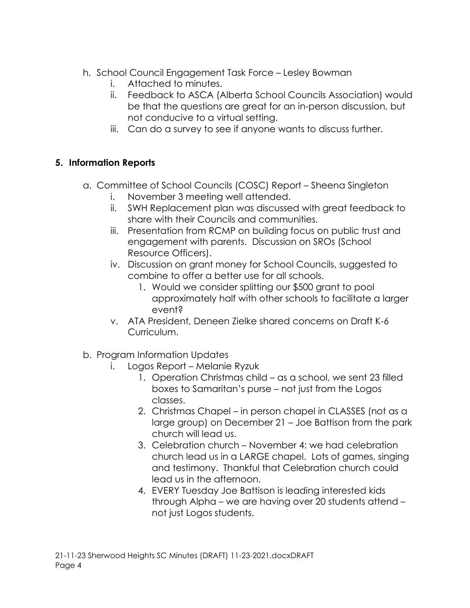- h. School Council Engagement Task Force Lesley Bowman
	- i. Attached to minutes.
	- ii. Feedback to ASCA (Alberta School Councils Association) would be that the questions are great for an in-person discussion, but not conducive to a virtual setting.
	- iii. Can do a survey to see if anyone wants to discuss further.

## **5. Information Reports**

- a. Committee of School Councils (COSC) Report Sheena Singleton
	- i. November 3 meeting well attended.
	- ii. SWH Replacement plan was discussed with great feedback to share with their Councils and communities.
	- iii. Presentation from RCMP on building focus on public trust and engagement with parents. Discussion on SROs (School Resource Officers).
	- iv. Discussion on grant money for School Councils, suggested to combine to offer a better use for all schools.
		- 1. Would we consider splitting our \$500 grant to pool approximately half with other schools to facilitate a larger event?
	- v. ATA President, Deneen Zielke shared concerns on Draft K-6 Curriculum.
- b. Program Information Updates
	- i. Logos Report Melanie Ryzuk
		- 1. Operation Christmas child as a school, we sent 23 filled boxes to Samaritan's purse – not just from the Logos classes.
		- 2. Christmas Chapel in person chapel in CLASSES (not as a large group) on December 21 – Joe Battison from the park church will lead us.
		- 3. Celebration church November 4: we had celebration church lead us in a LARGE chapel. Lots of games, singing and testimony. Thankful that Celebration church could lead us in the afternoon.
		- 4. EVERY Tuesday Joe Battison is leading interested kids through Alpha – we are having over 20 students attend – not just Logos students.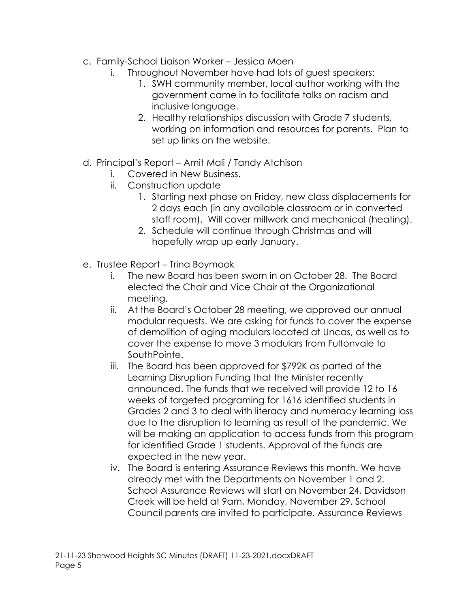- c. Family-School Liaison Worker Jessica Moen
	- i. Throughout November have had lots of guest speakers:
		- 1. SWH community member, local author working with the government came in to facilitate talks on racism and inclusive language.
		- 2. Healthy relationships discussion with Grade 7 students, working on information and resources for parents. Plan to set up links on the website.
- d. Principal's Report Amit Mali / Tandy Atchison
	- i. Covered in New Business.
	- ii. Construction update
		- 1. Starting next phase on Friday, new class displacements for 2 days each (in any available classroom or in converted staff room). Will cover millwork and mechanical (heating).
		- 2. Schedule will continue through Christmas and will hopefully wrap up early January.
- e. Trustee Report Trina Boymook
	- i. The new Board has been sworn in on October 28. The Board elected the Chair and Vice Chair at the Organizational meeting.
	- ii. At the Board's October 28 meeting, we approved our annual modular requests. We are asking for funds to cover the expense of demolition of aging modulars located at Uncas, as well as to cover the expense to move 3 modulars from Fultonvale to SouthPointe.
	- iii. The Board has been approved for \$792K as parted of the Learning Disruption Funding that the Minister recently announced. The funds that we received will provide 12 to 16 weeks of targeted programing for 1616 identified students in Grades 2 and 3 to deal with literacy and numeracy learning loss due to the disruption to learning as result of the pandemic. We will be making an application to access funds from this program for identified Grade 1 students. Approval of the funds are expected in the new year.
	- iv. The Board is entering Assurance Reviews this month. We have already met with the Departments on November 1 and 2. School Assurance Reviews will start on November 24, Davidson Creek will be held at 9am, Monday, November 29. School Council parents are invited to participate. Assurance Reviews